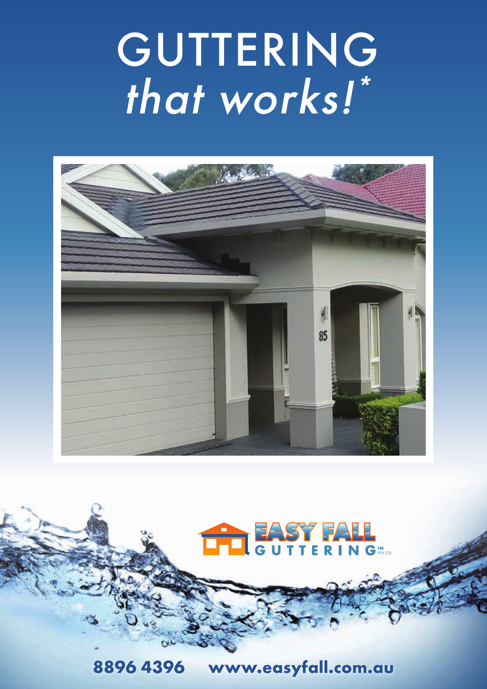# GUTTERING that works!"





8896 4396 www.easyfall.com.au

 $89$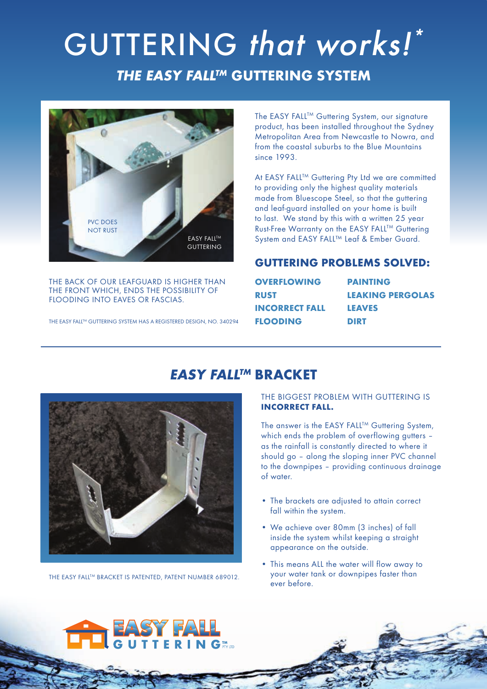# *THE EASY FALLTM* **GUTTERING SYSTEM** GUTTERING that works!\*



THE BACK OF OUR LEAFGUARD IS HIGHER THAN THE FRONT WHICH, ENDS THE POSSIBILITY OF FLOODING INTO EAVES OR FASCIAS.

THE EASY FALL™ GUTTERING SYSTEM HAS A REGISTERED DESIGN, NO. 340294

The EASY FALL™ Guttering System, our signature product, has been installed throughout the Sydney Metropolitan Area from Newcastle to Nowra, and from the coastal suburbs to the Blue Mountains since 1993.

At EASY FALL™ Guttering Pty Ltd we are committed to providing only the highest quality materials made from Bluescope Steel, so that the guttering and leaf-guard installed on your home is built to last. We stand by this with a written 25 year Rust-Free Warranty on the EASY FALL™ Guttering System and EASY FALL™ Leaf & Ember Guard.

# **GUTTERING PROBLEMS SOLVED:**

| <b>OVERFLOWING</b>    |  |
|-----------------------|--|
| <b>RUST</b>           |  |
| <b>INCORRECT FALL</b> |  |
| <b>FLOODING</b>       |  |

**PAINTING LEAKING PERGOLAS LEAVES DIRT**

# *EASY FALLTM* **BRACKET**



THE EASY FALL™ BRACKET IS PATENTED, PATENT NUMBER 689012.

### THE BIGGEST PROBLEM WITH GUTTERING IS **INCORRECT FALL.**

The answer is the EASY FALL™ Guttering System, which ends the problem of overflowing gutters – as the rainfall is constantly directed to where it should go – along the sloping inner PVC channel to the downpipes – providing continuous drainage of water.

- The brackets are adjusted to attain correct fall within the system.
- We achieve over 80mm (3 inches) of fall inside the system whilst keeping a straight appearance on the outside.
- This means ALL the water will flow away to your water tank or downpipes faster than ever before.

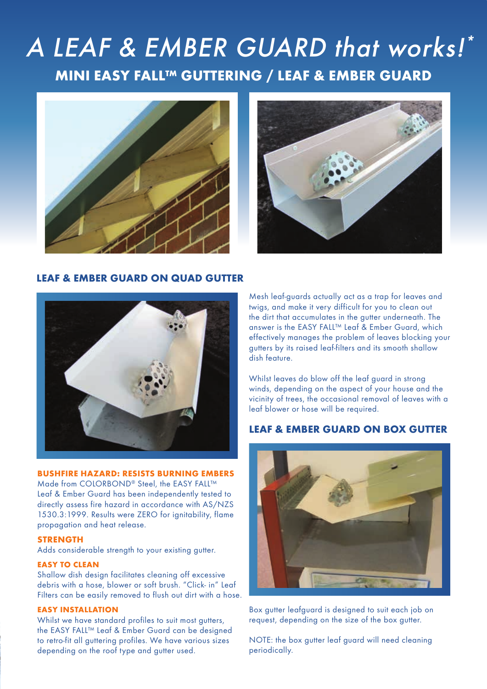# **MINI EASY FALL™ GUTTERING / LEAF & EMBER GUARD** A LEAF & EMBER GUARD that works!\*





### **LEAF & EMBER GUARD ON QUAD GUTTER**



#### **BUSHFIRE HAZARD: RESISTS BURNING EMBERS**

Made from COLORBOND® Steel, the EASY FALL™ Leaf & Ember Guard has been independently tested to directly assess fire hazard in accordance with AS/NZS 1530.3:1999. Results were ZERO for ignitability, flame propagation and heat release.

#### **STRENGTH**

Adds considerable strength to your existing gutter.

#### **EASY TO CLEAN**

Shallow dish design facilitates cleaning off excessive debris with a hose, blower or soft brush. "Click- in" Leaf Filters can be easily removed to flush out dirt with a hose.

#### **EASY INSTALLATION**

Whilst we have standard profiles to suit most quiters, the EASY FALL™ Leaf & Ember Guard can be designed to retro-fit all guttering profiles. We have various sizes depending on the roof type and gutter used.

Mesh leaf-guards actually act as a trap for leaves and twigs, and make it very difficult for you to clean out the dirt that accumulates in the gutter underneath. The answer is the EASY FALL™ Leaf & Ember Guard, which effectively manages the problem of leaves blocking your gutters by its raised leaf-filters and its smooth shallow dish feature.

Whilst leaves do blow off the leaf guard in strong winds, depending on the aspect of your house and the vicinity of trees, the occasional removal of leaves with a leaf blower or hose will be required.

### **LEAF & EMBER GUARD ON BOX GUTTER**



Box gutter leafguard is designed to suit each job on request, depending on the size of the box gutter.

NOTE: the box gutter leaf guard will need cleaning periodically.